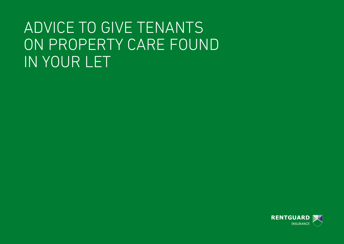# ADVICE TO GIVE TENANTS ON PROPERTY CARE FOUND IN YOUR LET

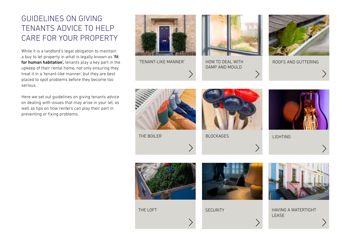# GUIDELINES ON GIVING TENANTS ADVICE TO HELP CARE FOR YOUR PROPERTY

While it is a landlord's legal obligation to maintain a buy to let property in what is legally known as 'fit for human habitation', tenants play a key part in the upkeep of their rental home, not only ensuring they treat it in a 'tenant-like manner,' but they are best placed to spot problems before they become too serious.

Here we set out guidelines on giving tenants advice on dealing with issues that may arise in your let, as well as tips on how renters can play their part in preventing or fixing problems.

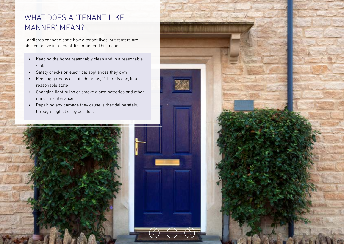# WHAT DOES A 'TENANT-LIKE MANNER' MEAN?

Landlords cannot dictate how a tenant lives, but renters are obliged to live in a tenant-like manner. This means:

- Keeping the home reasonably clean and in a reasonable state
- Safety checks on electrical appliances they own
- Keeping gardens or outside areas, if there is one, in a reasonable state
- Changing light bulbs or smoke alarm batteries and other minor maintenance
- Repairing any damage they cause, either deliberately, through neglect or by accident



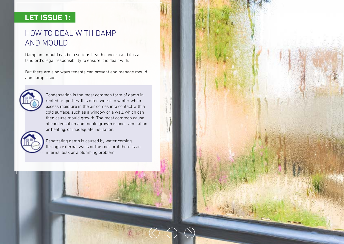# **LET ISSUE 1:**

# HOW TO DEAL WITH DAMP AND MOULD

Damp and mould can be a serious health concern and it is a landlord's legal responsibility to ensure it is dealt with.

But there are also ways tenants can prevent and manage mould and damp issues.



Condensation is the most common form of damp in rented properties. It is often worse in winter when excess moisture in the air comes into contact with a cold surface, such as a window or a wall, which can then cause mould growth. The most common cause of condensation and mould growth is poor ventilation or heating, or inadequate insulation.



Penetrating damp is caused by water coming through external walls or the roof, or if there is an internal leak or a plumbing problem.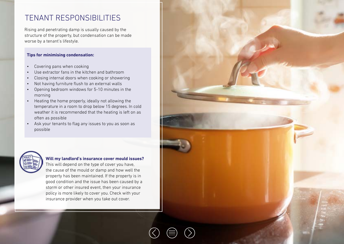### TENANT RESPONSIBILITIES

Rising and penetrating damp is usually caused by the structure of the property, but condensation can be made worse by a tenant's lifestyle.

#### **Tips for minimising condensation:**

- Covering pans when cooking
- Use extractor fans in the kitchen and bathroom
- Closing internal doors when cooking or showering
- Not having furniture flush to an external walls
- Opening bedroom windows for 5-10 minutes in the morning
- Heating the home properly, ideally not allowing the temperature in a room to drop below 15 degrees. In cold weather it is recommended that the heating is left on as often as possible
- Ask your tenants to flag any issues to you as soon as possible



#### **Will my landlord's insurance cover mould issues?**

This will depend on the type of cover you have, the cause of the mould or damp and how well the property has been maintained. If the property is in good condition and the issue has been caused by a storm or other insured event, then your insurance policy is more likely to cover you. Check with your insurance provider when you take out cover.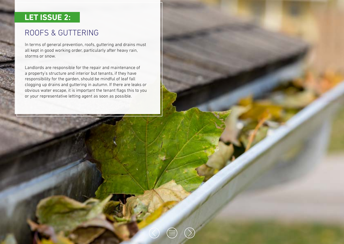# **LET ISSUE 2:**

# ROOFS & GUTTERING

In terms of general prevention, roofs, guttering and drains must all kept in good working order, particularly after heavy rain, storms or snow.

Landlords are responsible for the repair and maintenance of a property's structure and interior but tenants, if they have responsibility for the garden, should be mindful of leaf fall clogging up drains and guttering in autumn. If there are leaks or obvious water escape, it is important the tenant flags this to you or your representative letting agent as soon as possible.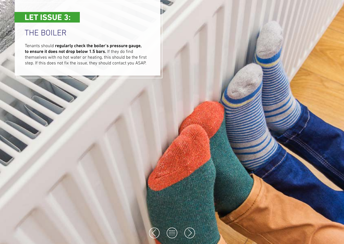# **LET ISSUE 3:**

# THE BOILER

Tenants should regularly check the boiler's pressure gauge, to ensure it does not drop below 1.5 bars. If they do find themselves with no hot water or heating, this should be the first step. If this does not fix the issue, they should contact you ASAP.

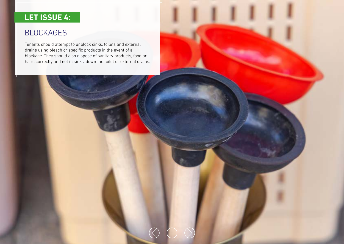# **LET ISSUE 4:**

### BLOCKAGES

Tenants should attempt to unblock sinks, toilets and external drains using bleach or specific products in the event of a blockage. They should also dispose of sanitary products, food or hairs correctly and not in sinks, down the toilet or external drains.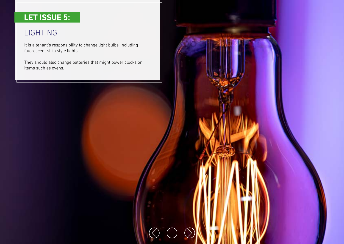# **LET ISSUE 5:**

# LIGHTING

It is a tenant's responsibility to change light bulbs, including fluorescent strip style lights.

They should also change batteries that might power clocks on items such as ovens.

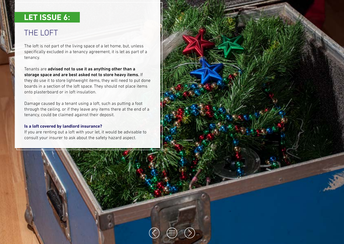# **LET ISSUE 6:**

# THE LOFT

The loft is not part of the living space of a let home, but, unless specifically excluded in a tenancy agreement, it is let as part of a tenancy.

Tenants are advised not to use it as anything other than a storage space and are best asked not to store heavy items. If they do use it to store lightweight items, they will need to put done boards in a section of the loft space. They should not place items onto plasterboard or in loft insulation.

Damage caused by a tenant using a loft, such as putting a foot through the ceiling, or if they leave any items there at the end of a tenancy, could be claimed against their deposit.

#### **Is a loft covered by landlord insurance?**

If you are renting out a loft with your let, it would be advisable to consult your insurer to ask about the safety hazard aspect.

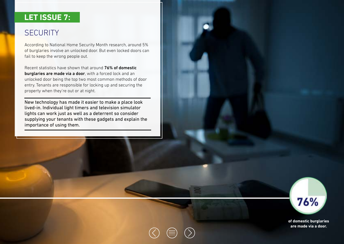### **LET ISSUE 7:**

# **SECURITY**

According to National Home Security Month research, around 5% of burglaries involve an unlocked door. But even locked doors can fail to keep the wrong people out.

Recent statistics have shown that around 76% of domestic burglaries are made via a door, with a forced lock and an unlocked door being the top two most common methods of door entry. Tenants are responsible for locking up and securing the property when they're out or at night.

New technology has made it easier to make a place look lived-in. Individual light timers and television simulator lights can work just as well as a deterrent so consider supplying your tenants with these gadgets and explain the importance of using them.



**of domestic burglaries are made via a door.**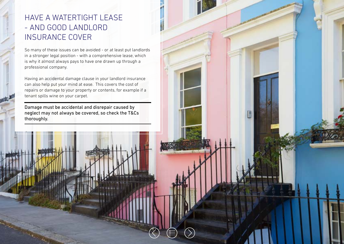# HAVE A WATERTIGHT LEASE - AND GOOD LANDLORD INSURANCE COVER

So many of these issues can be avoided - or at least put landlords in a stronger legal position - with a comprehensive lease, which is why it almost always pays to have one drawn up through a professional company.

Having an accidental damage clause in your landlord insurance can also help put your mind at ease. This covers the cost of repairs or damage to your property or contents, for example if a tenant spills wine on your carpet.

Damage must be accidental and disrepair caused by neglect may not always be covered, so check the T&Cs thoroughly.